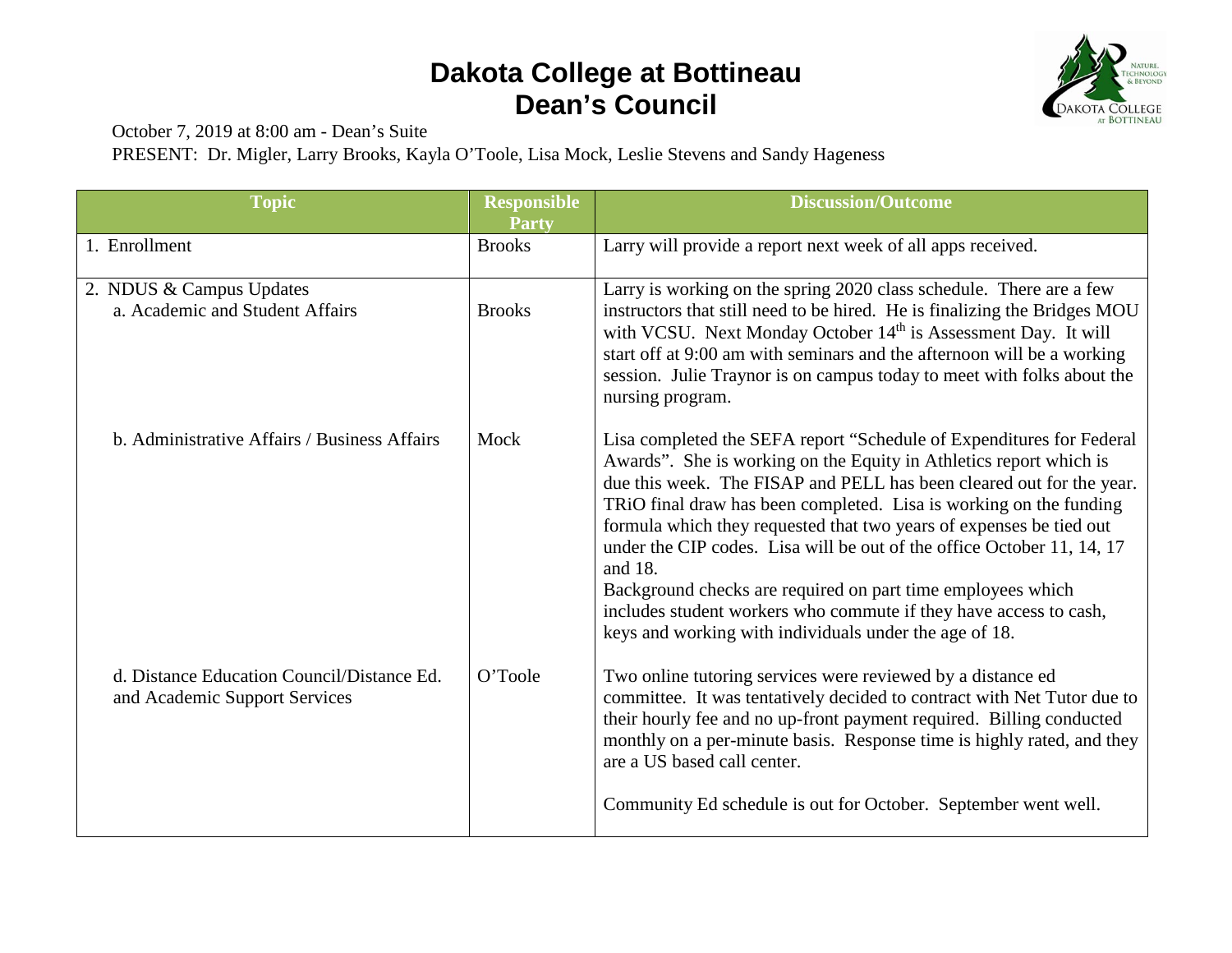## **Dakota College at Bottineau Dean's Council**



October 7, 2019 at 8:00 am - Dean's Suite

PRESENT: Dr. Migler, Larry Brooks, Kayla O'Toole, Lisa Mock, Leslie Stevens and Sandy Hageness

| <b>Topic</b>                                                                | <b>Responsible</b><br><b>Party</b> | <b>Discussion/Outcome</b>                                                                                                                                                                                                                                                                                                                                                                                                                                                                                                                                                                                                                          |
|-----------------------------------------------------------------------------|------------------------------------|----------------------------------------------------------------------------------------------------------------------------------------------------------------------------------------------------------------------------------------------------------------------------------------------------------------------------------------------------------------------------------------------------------------------------------------------------------------------------------------------------------------------------------------------------------------------------------------------------------------------------------------------------|
| 1. Enrollment                                                               | <b>Brooks</b>                      | Larry will provide a report next week of all apps received.                                                                                                                                                                                                                                                                                                                                                                                                                                                                                                                                                                                        |
| 2. NDUS & Campus Updates<br>a. Academic and Student Affairs                 | <b>Brooks</b>                      | Larry is working on the spring 2020 class schedule. There are a few<br>instructors that still need to be hired. He is finalizing the Bridges MOU<br>with VCSU. Next Monday October 14 <sup>th</sup> is Assessment Day. It will<br>start off at 9:00 am with seminars and the afternoon will be a working<br>session. Julie Traynor is on campus today to meet with folks about the<br>nursing program.                                                                                                                                                                                                                                             |
| b. Administrative Affairs / Business Affairs                                | Mock                               | Lisa completed the SEFA report "Schedule of Expenditures for Federal<br>Awards". She is working on the Equity in Athletics report which is<br>due this week. The FISAP and PELL has been cleared out for the year.<br>TRiO final draw has been completed. Lisa is working on the funding<br>formula which they requested that two years of expenses be tied out<br>under the CIP codes. Lisa will be out of the office October 11, 14, 17<br>and 18.<br>Background checks are required on part time employees which<br>includes student workers who commute if they have access to cash,<br>keys and working with individuals under the age of 18. |
| d. Distance Education Council/Distance Ed.<br>and Academic Support Services | O'Toole                            | Two online tutoring services were reviewed by a distance ed<br>committee. It was tentatively decided to contract with Net Tutor due to<br>their hourly fee and no up-front payment required. Billing conducted<br>monthly on a per-minute basis. Response time is highly rated, and they<br>are a US based call center.<br>Community Ed schedule is out for October. September went well.                                                                                                                                                                                                                                                          |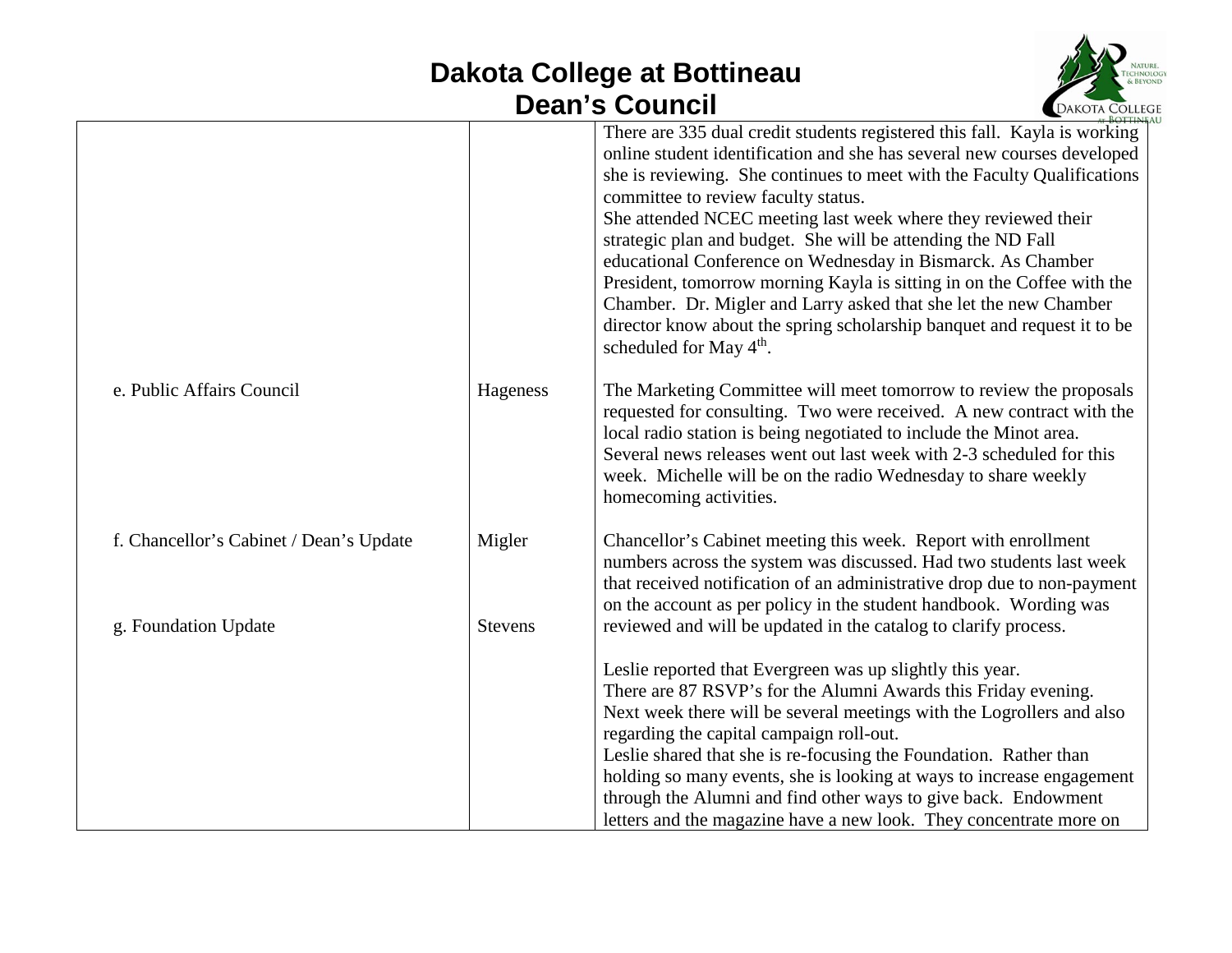## **Dakota College at Bottineau Dean's Council**



|                                         |                | There are 335 dual credit students registered this fall. Kayla is working<br>online student identification and she has several new courses developed<br>she is reviewing. She continues to meet with the Faculty Qualifications<br>committee to review faculty status.<br>She attended NCEC meeting last week where they reviewed their<br>strategic plan and budget. She will be attending the ND Fall<br>educational Conference on Wednesday in Bismarck. As Chamber<br>President, tomorrow morning Kayla is sitting in on the Coffee with the<br>Chamber. Dr. Migler and Larry asked that she let the new Chamber<br>director know about the spring scholarship banquet and request it to be<br>scheduled for May 4 <sup>th</sup> . |
|-----------------------------------------|----------------|----------------------------------------------------------------------------------------------------------------------------------------------------------------------------------------------------------------------------------------------------------------------------------------------------------------------------------------------------------------------------------------------------------------------------------------------------------------------------------------------------------------------------------------------------------------------------------------------------------------------------------------------------------------------------------------------------------------------------------------|
| e. Public Affairs Council               | Hageness       | The Marketing Committee will meet tomorrow to review the proposals<br>requested for consulting. Two were received. A new contract with the<br>local radio station is being negotiated to include the Minot area.<br>Several news releases went out last week with 2-3 scheduled for this<br>week. Michelle will be on the radio Wednesday to share weekly<br>homecoming activities.                                                                                                                                                                                                                                                                                                                                                    |
| f. Chancellor's Cabinet / Dean's Update | Migler         | Chancellor's Cabinet meeting this week. Report with enrollment<br>numbers across the system was discussed. Had two students last week<br>that received notification of an administrative drop due to non-payment<br>on the account as per policy in the student handbook. Wording was                                                                                                                                                                                                                                                                                                                                                                                                                                                  |
| g. Foundation Update                    | <b>Stevens</b> | reviewed and will be updated in the catalog to clarify process.<br>Leslie reported that Evergreen was up slightly this year.<br>There are 87 RSVP's for the Alumni Awards this Friday evening.<br>Next week there will be several meetings with the Logrollers and also<br>regarding the capital campaign roll-out.<br>Leslie shared that she is re-focusing the Foundation. Rather than<br>holding so many events, she is looking at ways to increase engagement<br>through the Alumni and find other ways to give back. Endowment<br>letters and the magazine have a new look. They concentrate more on                                                                                                                              |